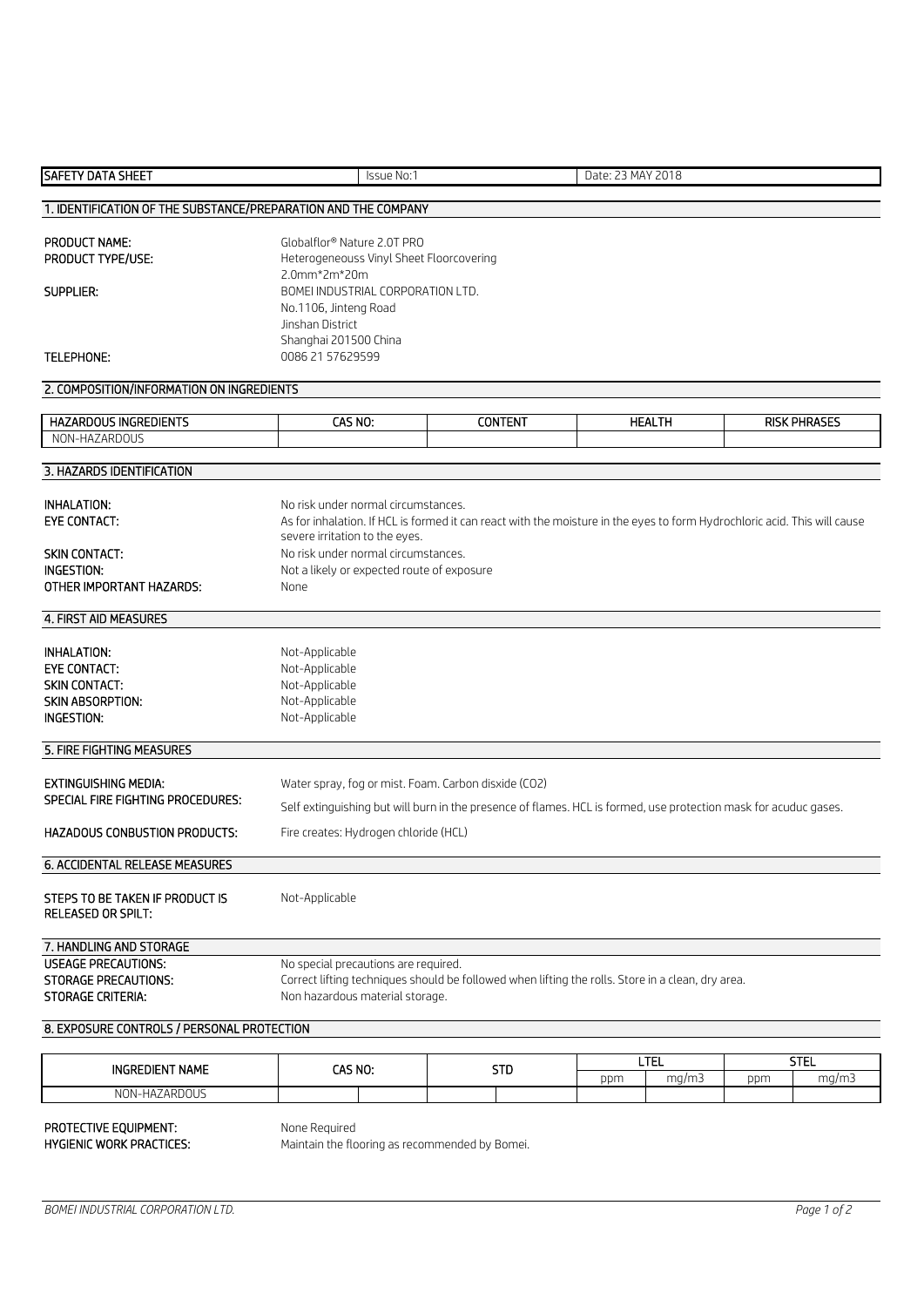| <b>SAFETY DATA SHEET</b>                                       | <b>Issue No:1</b>                                                                                                                    |                                                                         | Date: 23 MAY 2018 |                            |     |                     |  |
|----------------------------------------------------------------|--------------------------------------------------------------------------------------------------------------------------------------|-------------------------------------------------------------------------|-------------------|----------------------------|-----|---------------------|--|
| 1. IDENTIFICATION OF THE SUBSTANCE/PREPARATION AND THE COMPANY |                                                                                                                                      |                                                                         |                   |                            |     |                     |  |
|                                                                |                                                                                                                                      |                                                                         |                   |                            |     |                     |  |
| <b>PRODUCT NAME:</b><br>PRODUCT TYPE/USE:                      |                                                                                                                                      | Globalflor® Nature 2.0T PRO<br>Heterogeneouss Vinyl Sheet Floorcovering |                   |                            |     |                     |  |
|                                                                | 2.0mm*2m*20m                                                                                                                         |                                                                         |                   |                            |     |                     |  |
| SUPPLIER:                                                      | BOMEI INDUSTRIAL CORPORATION LTD.                                                                                                    |                                                                         |                   |                            |     |                     |  |
|                                                                | No.1106, Jinteng Road                                                                                                                |                                                                         |                   |                            |     |                     |  |
|                                                                | Jinshan District<br>Shanghai 201500 China                                                                                            |                                                                         |                   |                            |     |                     |  |
| <b>TELEPHONE:</b>                                              | 0086 21 57629599                                                                                                                     |                                                                         |                   |                            |     |                     |  |
| 2. COMPOSITION/INFORMATION ON INGREDIENTS                      |                                                                                                                                      |                                                                         |                   |                            |     |                     |  |
| <b>HAZARDOUS INGREDIENTS</b>                                   | CAS NO:                                                                                                                              | <b>CONTENT</b>                                                          |                   | <b>HEALTH</b>              |     | <b>RISK PHRASES</b> |  |
| NON-HAZARDOUS                                                  |                                                                                                                                      |                                                                         |                   |                            |     |                     |  |
|                                                                |                                                                                                                                      |                                                                         |                   |                            |     |                     |  |
| 3. HAZARDS IDENTIFICATION                                      |                                                                                                                                      |                                                                         |                   |                            |     |                     |  |
| INHALATION:                                                    | No risk under normal circumstances.                                                                                                  |                                                                         |                   |                            |     |                     |  |
| <b>EYE CONTACT:</b>                                            | As for inhalation. If HCL is formed it can react with the moisture in the eyes to form Hydrochloric acid. This will cause            |                                                                         |                   |                            |     |                     |  |
|                                                                | severe irritation to the eyes.                                                                                                       |                                                                         |                   |                            |     |                     |  |
| <b>SKIN CONTACT:</b><br>INGESTION:                             | No risk under normal circumstances.                                                                                                  |                                                                         |                   |                            |     |                     |  |
| OTHER IMPORTANT HAZARDS:                                       | Not a likely or expected route of exposure<br>None                                                                                   |                                                                         |                   |                            |     |                     |  |
|                                                                |                                                                                                                                      |                                                                         |                   |                            |     |                     |  |
| 4. FIRST AID MEASURES                                          |                                                                                                                                      |                                                                         |                   |                            |     |                     |  |
| <b>INHALATION:</b>                                             | Not-Applicable                                                                                                                       |                                                                         |                   |                            |     |                     |  |
| <b>EYE CONTACT:</b>                                            | Not-Applicable                                                                                                                       |                                                                         |                   |                            |     |                     |  |
| <b>SKIN CONTACT:</b>                                           | Not-Applicable                                                                                                                       |                                                                         |                   |                            |     |                     |  |
| <b>SKIN ABSORPTION:</b><br><b>INGESTION:</b>                   | Not-Applicable<br>Not-Applicable                                                                                                     |                                                                         |                   |                            |     |                     |  |
|                                                                |                                                                                                                                      |                                                                         |                   |                            |     |                     |  |
| 5. FIRE FIGHTING MEASURES                                      |                                                                                                                                      |                                                                         |                   |                            |     |                     |  |
| <b>EXTINGUISHING MEDIA:</b>                                    | Water spray, fog or mist. Foam. Carbon disxide (CO2)                                                                                 |                                                                         |                   |                            |     |                     |  |
| <b>SPECIAL FIRE FIGHTING PROCEDURES:</b>                       | Self extinguishing but will burn in the presence of flames. HCL is formed, use protection mask for acuduc gases.                     |                                                                         |                   |                            |     |                     |  |
| <b>HAZADOUS CONBUSTION PRODUCTS:</b>                           | Fire creates: Hydrogen chloride (HCL)                                                                                                |                                                                         |                   |                            |     |                     |  |
|                                                                |                                                                                                                                      |                                                                         |                   |                            |     |                     |  |
| 6. ACCIDENTAL RELEASE MEASURES                                 |                                                                                                                                      |                                                                         |                   |                            |     |                     |  |
| STEPS TO BE TAKEN IF PRODUCT IS<br>Not-Applicable              |                                                                                                                                      |                                                                         |                   |                            |     |                     |  |
| <b>RELEASED OR SPILT:</b>                                      |                                                                                                                                      |                                                                         |                   |                            |     |                     |  |
| 7. HANDLING AND STORAGE                                        |                                                                                                                                      |                                                                         |                   |                            |     |                     |  |
| <b>USEAGE PRECAUTIONS:</b>                                     | No special precautions are required.                                                                                                 |                                                                         |                   |                            |     |                     |  |
| <b>STORAGE PRECAUTIONS:</b><br><b>STORAGE CRITERIA:</b>        | Correct lifting techniques should be followed when lifting the rolls. Store in a clean, dry area.<br>Non hazardous material storage. |                                                                         |                   |                            |     |                     |  |
|                                                                |                                                                                                                                      |                                                                         |                   |                            |     |                     |  |
| 8. EXPOSURE CONTROLS / PERSONAL PROTECTION                     |                                                                                                                                      |                                                                         |                   |                            |     |                     |  |
|                                                                |                                                                                                                                      |                                                                         |                   | <b>LTEL</b><br><b>STEL</b> |     |                     |  |
| <b>INGREDIENT NAME</b>                                         | CAS NO:                                                                                                                              | <b>STD</b>                                                              | ppm               | mg/m3                      | ppm | mg/m3               |  |
| NON-HAZARDOUS                                                  |                                                                                                                                      |                                                                         |                   |                            |     |                     |  |

Maintain the flooring as recommended by Bomei.